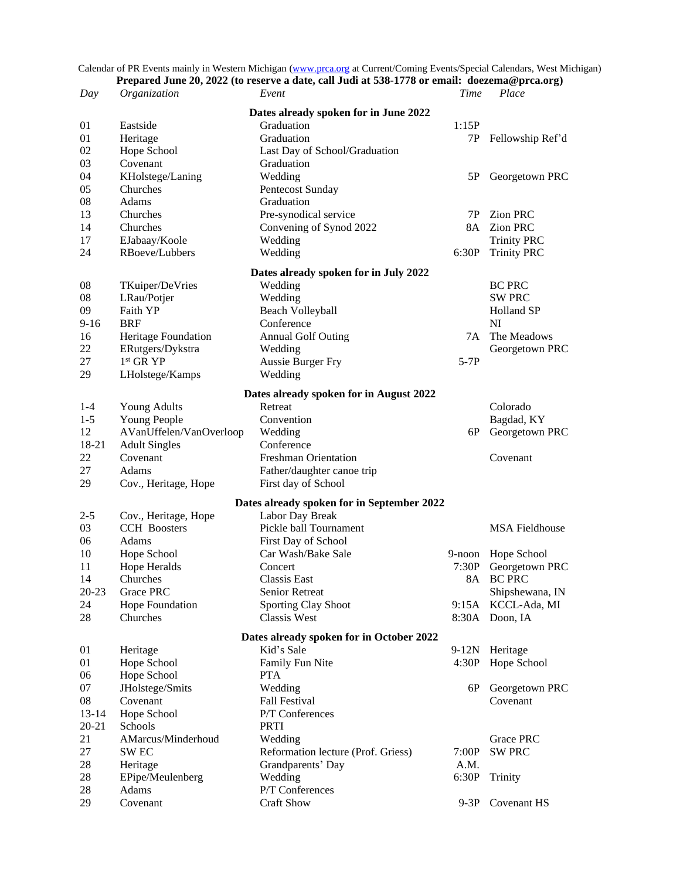Calendar of PR Events mainly in Western Michigan [\(www.prca.org](http://www.prca.org/) at Current/Coming Events/Special Calendars, West Michigan)

| Prepared June 20, 2022 (to reserve a date, call Judi at 538-1778 or email: doezema@prca.org) |                                  |                                                   |         |                       |  |  |  |  |
|----------------------------------------------------------------------------------------------|----------------------------------|---------------------------------------------------|---------|-----------------------|--|--|--|--|
| Day                                                                                          | Organization                     | Event                                             | Time    | Place                 |  |  |  |  |
| Dates already spoken for in June 2022                                                        |                                  |                                                   |         |                       |  |  |  |  |
| 01                                                                                           | Eastside                         | Graduation                                        | 1:15P   |                       |  |  |  |  |
| 01                                                                                           | Heritage                         | Graduation                                        | 7P      | Fellowship Ref'd      |  |  |  |  |
| 02                                                                                           | Hope School                      | Last Day of School/Graduation                     |         |                       |  |  |  |  |
| 03                                                                                           | Covenant                         | Graduation                                        |         |                       |  |  |  |  |
| 04                                                                                           | KHolstege/Laning                 | Wedding                                           | 5P      | Georgetown PRC        |  |  |  |  |
| 05                                                                                           | Churches                         | Pentecost Sunday                                  |         |                       |  |  |  |  |
| 08                                                                                           | Adams                            | Graduation                                        |         |                       |  |  |  |  |
| 13                                                                                           | Churches                         | Pre-synodical service                             | 7P      | <b>Zion PRC</b>       |  |  |  |  |
| 14                                                                                           | Churches                         | Convening of Synod 2022                           |         | 8A Zion PRC           |  |  |  |  |
| 17                                                                                           | EJabaay/Koole                    | Wedding                                           |         | <b>Trinity PRC</b>    |  |  |  |  |
| 24                                                                                           | RBoeve/Lubbers                   | Wedding                                           | 6:30P   | <b>Trinity PRC</b>    |  |  |  |  |
|                                                                                              |                                  |                                                   |         |                       |  |  |  |  |
|                                                                                              |                                  | Dates already spoken for in July 2022             |         |                       |  |  |  |  |
| 08                                                                                           | TKuiper/DeVries                  | Wedding                                           |         | <b>BC PRC</b>         |  |  |  |  |
| 08                                                                                           | LRau/Potjer                      | Wedding                                           |         | <b>SW PRC</b>         |  |  |  |  |
| 09                                                                                           | Faith YP                         | Beach Volleyball                                  |         | Holland SP            |  |  |  |  |
| $9 - 16$                                                                                     | <b>BRF</b>                       | Conference                                        |         | NI                    |  |  |  |  |
| 16                                                                                           | Heritage Foundation              | <b>Annual Golf Outing</b>                         | 7A      | The Meadows           |  |  |  |  |
| 22                                                                                           | ERutgers/Dykstra                 | Wedding                                           |         | Georgetown PRC        |  |  |  |  |
| 27                                                                                           | $1st$ GR $YP$                    | <b>Aussie Burger Fry</b>                          | $5-7P$  |                       |  |  |  |  |
| 29                                                                                           | LHolstege/Kamps                  | Wedding                                           |         |                       |  |  |  |  |
|                                                                                              |                                  | Dates already spoken for in August 2022           |         |                       |  |  |  |  |
| $1 - 4$                                                                                      | Young Adults                     | Retreat                                           |         | Colorado              |  |  |  |  |
| $1 - 5$                                                                                      | Young People                     | Convention                                        |         | Bagdad, KY            |  |  |  |  |
| 12                                                                                           | AVanUffelen/VanOverloop          | Wedding                                           | 6P      | Georgetown PRC        |  |  |  |  |
| 18-21                                                                                        |                                  | Conference                                        |         |                       |  |  |  |  |
| 22                                                                                           | <b>Adult Singles</b><br>Covenant | Freshman Orientation                              |         | Covenant              |  |  |  |  |
| 27                                                                                           | Adams                            |                                                   |         |                       |  |  |  |  |
| 29                                                                                           | Cov., Heritage, Hope             | Father/daughter canoe trip<br>First day of School |         |                       |  |  |  |  |
|                                                                                              |                                  |                                                   |         |                       |  |  |  |  |
|                                                                                              |                                  | Dates already spoken for in September 2022        |         |                       |  |  |  |  |
| $2 - 5$                                                                                      | Cov., Heritage, Hope             | Labor Day Break                                   |         |                       |  |  |  |  |
| 03                                                                                           | <b>CCH</b> Boosters              | Pickle ball Tournament                            |         | <b>MSA Fieldhouse</b> |  |  |  |  |
| 06                                                                                           | Adams                            | First Day of School                               |         |                       |  |  |  |  |
| 10                                                                                           | Hope School                      | Car Wash/Bake Sale                                | 9-noon  | Hope School           |  |  |  |  |
| 11                                                                                           | Hope Heralds                     | Concert                                           | 7:30P   | Georgetown PRC        |  |  |  |  |
| 14                                                                                           | Churches                         | <b>Classis East</b>                               |         | 8A BC PRC             |  |  |  |  |
| $20 - 23$                                                                                    | Grace PRC                        | Senior Retreat                                    |         | Shipshewana, IN       |  |  |  |  |
| 24                                                                                           | Hope Foundation                  | <b>Sporting Clay Shoot</b>                        |         | 9:15A KCCL-Ada, MI    |  |  |  |  |
| 28                                                                                           | Churches                         | <b>Classis West</b>                               |         | 8:30A Doon, IA        |  |  |  |  |
| Dates already spoken for in October 2022                                                     |                                  |                                                   |         |                       |  |  |  |  |
| 01                                                                                           | Heritage                         | Kid's Sale                                        | $9-12N$ | Heritage              |  |  |  |  |
| 01                                                                                           | Hope School                      | Family Fun Nite                                   | 4:30P   | Hope School           |  |  |  |  |
| 06                                                                                           | Hope School                      | <b>PTA</b>                                        |         |                       |  |  |  |  |
| 07                                                                                           | JHolstege/Smits                  | Wedding                                           | 6P      | Georgetown PRC        |  |  |  |  |
| 08                                                                                           | Covenant                         | <b>Fall Festival</b>                              |         | Covenant              |  |  |  |  |
| $13 - 14$                                                                                    | Hope School                      | P/T Conferences                                   |         |                       |  |  |  |  |
| $20 - 21$                                                                                    | Schools                          | <b>PRTI</b>                                       |         |                       |  |  |  |  |
| 21                                                                                           | AMarcus/Minderhoud               | Wedding                                           |         | Grace PRC             |  |  |  |  |
| 27                                                                                           | SW <sub>EC</sub>                 | Reformation lecture (Prof. Griess)                | 7:00P   | <b>SW PRC</b>         |  |  |  |  |
| 28                                                                                           | Heritage                         | Grandparents' Day                                 | A.M.    |                       |  |  |  |  |
| 28                                                                                           | EPipe/Meulenberg                 | Wedding                                           | 6:30P   |                       |  |  |  |  |
| 28                                                                                           | Adams                            | P/T Conferences                                   |         | Trinity               |  |  |  |  |
| 29                                                                                           | Covenant                         | <b>Craft Show</b>                                 | $9-3P$  | Covenant HS           |  |  |  |  |
|                                                                                              |                                  |                                                   |         |                       |  |  |  |  |